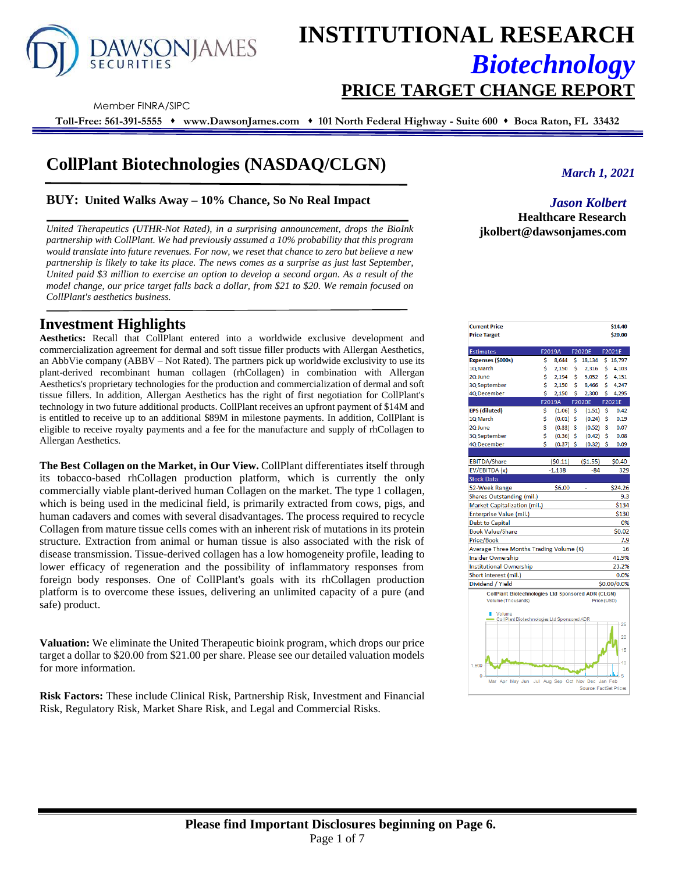

# **INSTITUTIONAL RESEARCH** *Biotechnology*

**PRICE TARGET CHANGE REPORT** 

Member FINRA/SIPC

**Toll-Free: 561-391-5555** ⬧ **www.DawsonJames.com** ⬧ **101 North Federal Highway - Suite 600** ⬧ **Boca Raton, FL 33432**

# **CollPlant Biotechnologies (NASDAQ/CLGN)**

#### **BUY: United Walks Away – 10% Chance, So No Real Impact**

*United Therapeutics (UTHR-Not Rated), in a surprising announcement, drops the BioInk partnership with CollPlant. We had previously assumed a 10% probability that this program would translate into future revenues. For now, we reset that chance to zero but believe a new partnership is likely to take its place. The news comes as a surprise as just last September, United paid \$3 million to exercise an option to develop a second organ. As a result of the model change, our price target falls back a dollar, from \$21 to \$20. We remain focused on CollPlant's aesthetics business.* 

## **Investment Highlights**

**Aesthetics:** Recall that CollPlant entered into a worldwide exclusive development and commercialization agreement for dermal and soft tissue filler products with Allergan Aesthetics, an AbbVie company (ABBV – Not Rated). The partners pick up worldwide exclusivity to use its plant-derived recombinant human collagen (rhCollagen) in combination with Allergan Aesthetics's proprietary technologies for the production and commercialization of dermal and soft tissue fillers. In addition, Allergan Aesthetics has the right of first negotiation for CollPlant's technology in two future additional products. CollPlant receives an upfront payment of \$14M and is entitled to receive up to an additional \$89M in milestone payments. In addition, CollPlant is eligible to receive royalty payments and a fee for the manufacture and supply of rhCollagen to Allergan Aesthetics.

**The Best Collagen on the Market, in Our View.** CollPlant differentiates itself through its tobacco-based rhCollagen production platform, which is currently the only commercially viable plant-derived human Collagen on the market. The type 1 collagen, which is being used in the medicinal field, is primarily extracted from cows, pigs, and human cadavers and comes with several disadvantages. The process required to recycle Collagen from mature tissue cells comes with an inherent risk of mutations in its protein structure. Extraction from animal or human tissue is also associated with the risk of disease transmission. Tissue-derived collagen has a low homogeneity profile, leading to lower efficacy of regeneration and the possibility of inflammatory responses from foreign body responses. One of CollPlant's goals with its rhCollagen production platform is to overcome these issues, delivering an unlimited capacity of a pure (and safe) product.

**Valuation:** We eliminate the United Therapeutic bioink program, which drops our price target a dollar to \$20.00 from \$21.00 per share. Please see our detailed valuation models for more information.

**Risk Factors:** These include Clinical Risk, Partnership Risk, Investment and Financial Risk, Regulatory Risk, Market Share Risk, and Legal and Commercial Risks.

*March 1, 2021*

*Jason Kolbert* **Healthcare Research jkolbert@dawsonjames.com**

| <b>Current Price</b>                                      |    |             |    |                                 |    | \$14.40     |
|-----------------------------------------------------------|----|-------------|----|---------------------------------|----|-------------|
| <b>Price Target</b>                                       |    |             |    |                                 |    | \$20.00     |
| <b>Estimates</b>                                          |    | F2019A      |    | <b>F2020E</b>                   |    | F2021E      |
| Expenses (\$000s)                                         | \$ | 8.644       | \$ | 18.134                          |    | \$16,797    |
| 1Q March                                                  | \$ | 2.150       | \$ | 2,316                           | \$ | 4,103       |
| 2Q June                                                   | Ś  | 2,194       | \$ | 5,052                           | \$ | 4,151       |
| 3Q September                                              | Ś  | 2.150       | Ś  | 8,466                           | Ś  | 4,247       |
| 4Q December                                               | Ś  | 2,150       | Ś  | 2,300                           | Ś  | 4,295       |
|                                                           |    | F2019A      |    | <b>F2020E</b>                   |    | F2021E      |
| <b>EPS</b> (diluted)                                      | \$ | (1.06)      | \$ | (1.51)                          | \$ | 0.42        |
| 1Q March                                                  | \$ | (0.01)      | \$ | (0.24)                          | \$ | 0.19        |
| 2Q June                                                   | \$ | (0.33)      | Ś  | (0.52)                          | Ś  | 0.07        |
| 3Q September                                              | \$ | (0.36)      | \$ | (0.42)                          | \$ | 0.08        |
| 40 December                                               | Ś  | $(0.37)$ \$ |    | (0.32)                          | Ś  | 0.09        |
|                                                           |    |             |    |                                 |    |             |
| <b>EBITDA/Share</b>                                       |    | (50.11)     |    | (51.55)                         |    | \$0.40      |
| EV/EBITDA (x)                                             |    | $-1,138$    |    | $-84$                           |    | 329         |
| <b>Stock Data</b>                                         |    |             |    |                                 |    |             |
| 52-Week Range                                             |    | \$6.00      |    |                                 |    | \$24.26     |
| Shares Outstanding (mil.)                                 |    |             |    |                                 |    | 9.3         |
| Market Capitalization (mil.)                              |    |             |    |                                 |    | \$134       |
| Enterprise Value (mil.)                                   |    |             |    |                                 |    | \$130       |
| <b>Debt to Capital</b>                                    |    |             |    |                                 |    | 0%          |
| <b>Book Value/Share</b>                                   |    |             |    |                                 |    | \$0.02      |
| Price/Book                                                |    |             |    |                                 |    | 7.9         |
| Average Three Months Trading Volume (K)                   |    |             |    |                                 |    | 16          |
| <b>Insider Ownership</b>                                  |    |             |    |                                 |    | 41.9%       |
| Institutional Ownership                                   |    |             |    |                                 |    | 23.2%       |
| Short interest (mil.)                                     |    |             |    |                                 |    | 0.0%        |
| Dividend / Yield                                          |    |             |    |                                 |    | \$0.00/0.0% |
| <b>CollPlant Biotechnologies Ltd Sponsored ADR (CLGN)</b> |    |             |    |                                 |    |             |
| Volume (Thousands)                                        |    |             |    | Price (USD)                     |    |             |
| Volume                                                    |    |             |    |                                 |    |             |
| CollPlant Biotechnologies Ltd Sponsored ADR               |    |             |    |                                 |    |             |
|                                                           |    |             |    |                                 |    | 25          |
|                                                           |    |             |    |                                 |    | 20          |
|                                                           |    |             |    |                                 |    |             |
|                                                           |    |             |    |                                 |    | 15          |
| 1,600                                                     |    |             |    |                                 |    | 10          |
|                                                           |    |             |    |                                 |    |             |
| 0<br>Apr May Jun<br>Mar                                   |    |             |    | Jul Aug Sep Oct Nov Dec Jan Feb |    | -5          |
|                                                           |    |             |    | Source: FactSet Prices          |    |             |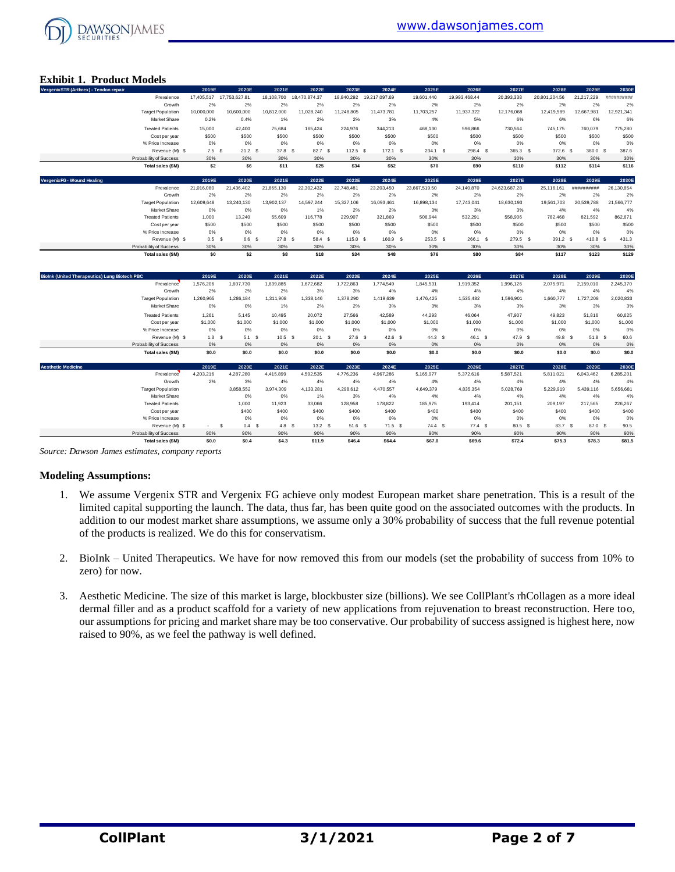

#### **Exhibit 1. Product Models**

| <b>Exhibit 1. Product Models</b>                     |                                          |                  |                                   |                          |                        |                     |                        |                     |                        |                     |                        |                     |                      |
|------------------------------------------------------|------------------------------------------|------------------|-----------------------------------|--------------------------|------------------------|---------------------|------------------------|---------------------|------------------------|---------------------|------------------------|---------------------|----------------------|
| VergenixSTR (Arthrex) - Tendon repair                | Prevalence                               | 2019E            | 2020E<br>17,405,517 17,753,627.81 | 2021E<br>18,108,700      | 2022E<br>18,470,874.37 | 2023E<br>18,840,292 | 2024E<br>19,217,097.69 | 2025E<br>19,601,440 | 2026E<br>19,993,468.44 | 2027E<br>20,393,338 | 2028E<br>20,801,204.56 | 2029E<br>21,217,229 | 2030E<br>*********** |
|                                                      | Growth                                   | 2%               | 2%                                | 2%                       | 2%                     | 2%                  | 2%                     | 2%                  | 2%                     | 2%                  | 2%                     | 2%                  | 2%                   |
|                                                      | <b>Target Population</b>                 | 10,000,000       | 10,600,000                        | 10,812,000               | 11,028,240             | 11,248,805          | 11,473,781             | 11,703,257          | 11,937,322             | 12,176,068          | 12,419,589             | 12,667,981          | 12,921,341           |
|                                                      | Market Share                             | 0.2%             | 0.4%                              | 1%                       | 2%                     | 2%                  | 3%                     | 4%                  | 5%                     | 6%                  | 6%                     | 6%                  | 6%                   |
|                                                      | <b>Treated Patients</b>                  | 15,000           | 42,400                            | 75,684                   | 165,424                | 224,976             | 344,213                | 468,130             | 596,866                | 730,564             | 745,175                | 760,079             | 775,280              |
|                                                      | Cost per year                            | \$500            | \$500                             | \$500                    | \$500                  | \$500               | \$500                  | \$500               | \$500                  | \$500               | \$500                  | \$500               | \$500                |
|                                                      | % Price Increase                         | 0%               | 0%                                | 0%                       | 0%                     | 0%                  | 0%                     | 0%                  | 0%                     | 0%                  | 0%                     | 0%                  | 0%                   |
|                                                      | Revenue (M) \$                           | $7.5$ \$         | 21.2 S                            | 37.8 \$                  | 82.7 \$                | $112.5$ \$          | 172.1 \$               | $234.1$ \$          | 298.4 \$               | 365.3 \$            | $372.6$ \$             | 380.0 \$            | 387.6                |
|                                                      | Probability of Success                   | 30%              | 30%                               | 30%                      | 30%                    | 30%                 | 30%                    | 30%                 | 30%                    | 30%                 | 30%                    | 30%                 | 30%                  |
|                                                      | Total sales (\$M)                        | \$2              | \$6                               | \$11                     | \$25                   | \$34                | \$52                   | \$70                | \$90                   | \$110               | \$112                  | \$114               | \$116                |
| VergenixFG - Wound Healing                           |                                          | 2019E            | 2020E                             | 2021E                    | 2022E                  | 2023E               | 2024E                  | 2025E               | 2026E                  | 2027E               | 2028E                  | 2029E               | 2030E                |
|                                                      | Prevalence                               | 21.016.080       | 21.436.402                        | 21.865.130               | 22.302.432             | 22.748.481          | 23.203.450             | 23.667.519.50       | 24.140.870             | 24.623.687.28       | 25.116.161             | ##########          | 26.130.854           |
|                                                      | Growth                                   | 2%               | 2%                                | 2%                       | 2%                     | 2%                  | 2%                     | 2%                  | 2%                     | 2%                  | 2%                     | 2%                  | 2%                   |
|                                                      | <b>Target Population</b>                 | 12,609.648       | 13,240,130                        | 13.902.137               | 14.597.244             | 15.327.106          | 16.093.461             | 16.898.134          | 17,743,041             | 18,630,193          | 19.561.703             | 20.539.788          | 21,566,777           |
|                                                      | Market Share                             | 0%               | 0%                                | 0%                       | 1%                     | 2%                  | 2%                     | 3%                  | 3%                     | 3%                  | 4%                     | 4%                  | 4%                   |
|                                                      | <b>Treated Patients</b>                  | 1,000            | 13,240                            | 55,609                   | 116,778                | 229,907             | 321,869                | 506,944             | 532,291                | 558,906             | 782,468                | 821,592             | 862,671              |
|                                                      | Cost per year                            | \$500            | \$500                             | \$500                    | \$500                  | \$500               | \$500                  | \$500               | \$500                  | \$500               | \$500                  | \$500               | \$500                |
|                                                      | % Price Increase                         | 0%               | 0%                                | 0%                       | 0%                     | 0%                  | 0%                     | 0%                  | 0%                     | 0%                  | 0%                     | 0%                  | 0%                   |
|                                                      | Revenue (M) \$<br>Probability of Success | $0.5-5$<br>30%   | 6.6<br>30%                        | 27.8 S<br>- S<br>30%     | 58.4 S                 | 115.0 S             | 160.9 S                | $253.5$ \$          | 266.1 \$               | 279.5 \$            | 391.2 \$               | 410.8 S             | 431.3                |
|                                                      |                                          | \$0              | \$2                               | \$8                      | 30%<br>\$18            | 30%<br>\$34         | 30%<br><b>\$48</b>     | 30%<br>\$76         | 30%<br>\$80            | 30%<br>\$84         | 30%<br>\$117           | 30%<br>\$123        | 30%<br>\$129         |
|                                                      | Total sales (\$M)                        |                  |                                   |                          |                        |                     |                        |                     |                        |                     |                        |                     |                      |
| <b>Biolnk (United Therapeutics) Lung Biotech PBC</b> |                                          | 2019E            | 2020E                             | 2021E                    | 2022E                  | 2023E               | 2024E                  | 2025E               | 2026E                  | 2027E               | 2028E                  | 2029E               | 2030E                |
|                                                      | Prevalence                               | 1,576,206        | 1,607,730                         | 1,639,885                | 1,672,682              | 1,722,863           | 1,774,549              | 1,845,531           | 1,919,352              | 1,996,126           | 2,075,971              | 2,159,010           | 2,245,370            |
|                                                      | Growth                                   | 2%               | 2%                                | 2%                       | 3%                     | 3%                  | 4%                     | 4%                  | 4%                     | 4%                  | 4%                     | 4%                  | 4%                   |
|                                                      | <b>Target Population</b>                 | 1,260,965        | 1,286,184                         | 1,311,908                | 1,338,146              | 1,378,290           | 1,419,639              | 1,476,425           | 1,535,482              | 1,596,901           | 1,660,777              | 1,727,208           | 2,020,833            |
|                                                      | Market Share                             | 0%               | 0%                                | 1%                       | 2%                     | 2%                  | 3%                     | 3%                  | 3%                     | 3%                  | 3%                     | 3%                  | 3%                   |
|                                                      | <b>Treated Patients</b>                  | 1,261            | 5.145                             | 10.495                   | 20.072                 | 27.566              | 42.589                 | 44.293              | 46,064                 | 47.907              | 49,823                 | 51,816              | 60,625               |
|                                                      | Cost per year                            | \$1,000          | \$1,000                           | \$1,000                  | \$1,000                | \$1,000             | \$1,000                | \$1,000             | \$1,000                | \$1,000             | \$1,000                | \$1,000             | \$1,000              |
|                                                      | % Price Increase                         | 0%               | 0%                                | 0%                       | 0%                     | 0%                  | 0%                     | 0%                  | 0%                     | 0%                  | 0%                     | 0%                  | 0%                   |
|                                                      | Revenue (M) \$                           | 1.3 <sup>5</sup> | 5.1                               | $10.5-5$<br>-S           | 20.1 S                 | $27.6$ \$           | $42.6$ \$              | 44.3 <sup>5</sup>   | 46.1 \$                | 47.9 \$             | 49.8 \$                | 51.8 \$             | 60.6                 |
|                                                      | Probability of Success                   | 0%               | 0%                                | 0%                       | 0%                     | 0%                  | 0%                     | 0%                  | 0%                     | 0%                  | 0%                     | 0%                  | $0\%$                |
|                                                      | Total sales (\$M)                        | \$0.0            | \$0.0                             | \$0.0                    | \$0.0                  | \$0.0               | \$0.0                  | \$0.0               | \$0.0                  | \$0.0               | \$0.0                  | \$0.0               | \$0.0                |
| <b>Aesthetic Medicine</b>                            |                                          | 2019E            | 2020E                             | 2021E                    | 2022E                  | 2023E               | 2024E                  | 2025E               | 2026E                  | 2027E               | 2028E                  | 2029E               | 2030E                |
|                                                      | Prevalence                               | 4,203,216        | 4,287,280                         | 4,415,899                | 4,592,535              | 4,776,236           | 4,967,286              | 5,165,977           | 5,372,616              | 5,587,521           | 5,811,021              | 6,043,462           | 6,285,201            |
|                                                      | Growth                                   | 2%               | 3%                                | 4%                       | 4%                     | 4%                  | 4%                     | 4%                  | 4%                     | 4%                  | 4%                     | 4%                  | 4%                   |
|                                                      | <b>Target Population</b><br>Market Share |                  | 3,858,552<br>0%                   | 3,974,309                | 4,133,281<br>1%        | 4,298,612<br>3%     | 4,470,557<br>4%        | 4,649,379<br>4%     | 4,835,354<br>4%        | 5,028,769<br>4%     | 5.229.919<br>4%        | 5,439,116<br>4%     | 5,656,681            |
|                                                      | <b>Treated Patients</b>                  |                  | 1,000                             | 0%<br>11,923             | 33,066                 | 128,958             | 178,822                | 185,975             | 193,414                | 201,151             | 209,197                | 217.565             | 4%<br>226,267        |
|                                                      |                                          |                  | \$400                             | \$400                    | \$400                  | \$400               | \$400                  | \$400               | \$400                  | \$400               | \$400                  | \$400               | \$400                |
|                                                      | Cost per year<br>% Price Increase        |                  | 0%                                | 0%                       | 0%                     | 0%                  | 0%                     | 0%                  | 0%                     | 0%                  | 0%                     | 0%                  | 0%                   |
|                                                      | Revenue (M) \$                           | $\sim$           | \$<br>0.4                         | - \$<br>4.8 <sup>5</sup> | 13.2 <sup>5</sup>      | $51.6$ \$           | $71.5$ \$              | $74.4$ \$           | $77.4$ \$              | $80.5$ \$           | 83.7 \$                | 87.0 \$             | 90.5                 |
|                                                      | Probability of Success                   | 90%              | 90%                               | 90%                      | 90%                    | 90%                 | 90%                    | 90%                 | 90%                    | 90%                 | 90%                    | 90%                 | 90%                  |
|                                                      | Total sales (\$M)                        | \$0.0            | \$0.4                             | \$4.3                    | \$11.9                 | \$46.4              | \$64.4                 | \$67.0              | \$69.6                 | \$72.4              | \$75.3                 | \$78.3              | \$81.5               |

*Source: Dawson James estimates, company reports*

#### **Modeling Assumptions:**

- 1. We assume Vergenix STR and Vergenix FG achieve only modest European market share penetration. This is a result of the limited capital supporting the launch. The data, thus far, has been quite good on the associated outcomes with the products. In addition to our modest market share assumptions, we assume only a 30% probability of success that the full revenue potential of the products is realized. We do this for conservatism.
- 2. BioInk United Therapeutics. We have for now removed this from our models (set the probability of success from 10% to zero) for now.
- 3. Aesthetic Medicine. The size of this market is large, blockbuster size (billions). We see CollPlant's rhCollagen as a more ideal dermal filler and as a product scaffold for a variety of new applications from rejuvenation to breast reconstruction. Here too, our assumptions for pricing and market share may be too conservative. Our probability of success assigned is highest here, now raised to 90%, as we feel the pathway is well defined.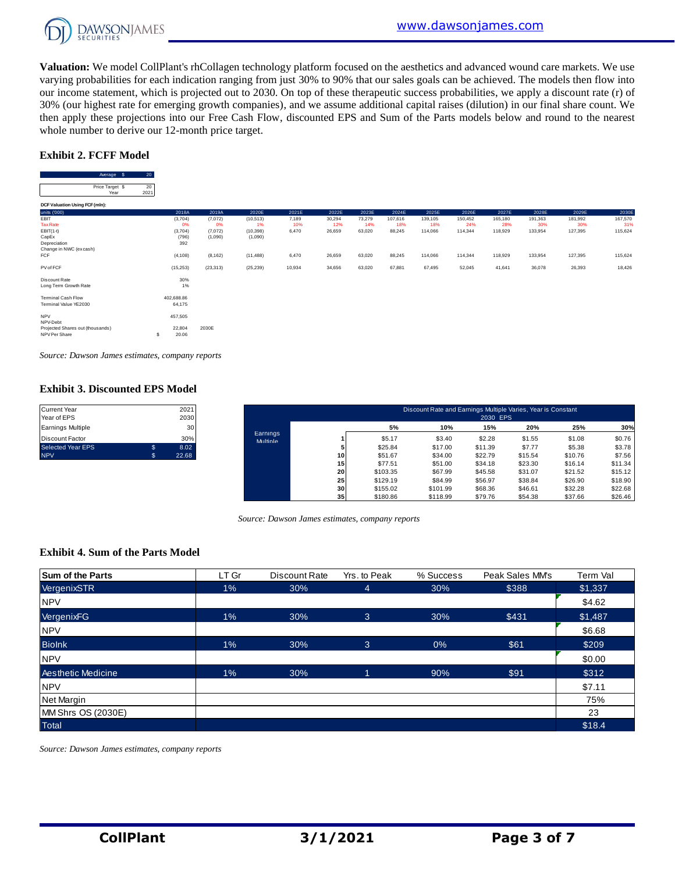

**Valuation:** We model CollPlant's rhCollagen technology platform focused on the aesthetics and advanced wound care markets. We use varying probabilities for each indication ranging from just 30% to 90% that our sales goals can be achieved. The models then flow into our income statement, which is projected out to 2030. On top of these therapeutic success probabilities, we apply a discount rate (r) of 30% (our highest rate for emerging growth companies), and we assume additional capital raises (dilution) in our final share count. We then apply these projections into our Free Cash Flow, discounted EPS and Sum of the Parts models below and round to the nearest whole number to derive our 12-month price target. ese projection<br>T to derive ou<br>T**FF Model**<br>Average \$ 20<br>ce Target \$ 20

#### **Exhibit 2. FCFF Model**

| <b>Exhibit 2. FCFF Model</b> |                                                               |                                                          |                                                               |                                                                |                                            |                                            |                                             |                                               |                                               |                                               |                                               |                                               |                                               |
|------------------------------|---------------------------------------------------------------|----------------------------------------------------------|---------------------------------------------------------------|----------------------------------------------------------------|--------------------------------------------|--------------------------------------------|---------------------------------------------|-----------------------------------------------|-----------------------------------------------|-----------------------------------------------|-----------------------------------------------|-----------------------------------------------|-----------------------------------------------|
| 20<br>20<br>2021             |                                                               |                                                          |                                                               |                                                                |                                            |                                            |                                             |                                               |                                               |                                               |                                               |                                               |                                               |
|                              |                                                               |                                                          |                                                               |                                                                |                                            |                                            |                                             |                                               |                                               |                                               |                                               |                                               | $\cdots$                                      |
|                              | 2018A<br>(3,704)<br>0%<br>(3,704)<br>(796)<br>392<br>(4, 108) | 2019A<br>(7,072)<br>0%<br>(7,072)<br>(1,090)<br>(8, 162) | 2020E<br>(10, 513)<br>1%<br>(10, 398)<br>(1,090)<br>(11, 488) | 2021E<br>7,189<br>10%<br>6,470<br>6,470                        | 2022E<br>30,294<br>12%<br>26,659<br>26,659 | 2023E<br>73,279<br>14%<br>63,020<br>63,020 | 2024E<br>107,616<br>18%<br>88,245<br>88,245 | 2025E<br>139,105<br>18%<br>114,066<br>114.066 | 2026E<br>150,452<br>24%<br>114,344<br>114,344 | 2027E<br>165,180<br>28%<br>118,929<br>118,929 | 2028E<br>191,363<br>30%<br>133,954<br>133,954 | 2029E<br>181,992<br>30%<br>127,395<br>127,395 | 2030E<br>167,570<br>31%<br>115,624<br>115,624 |
|                              | (15, 253)                                                     | (23, 313)                                                | (25, 239)                                                     | 10,934                                                         | 34,656                                     | 63,020                                     | 67,881                                      | 67,495                                        | 52,045                                        | 41,641                                        | 36,078                                        | 26,393                                        | 18,426                                        |
|                              | 30%<br>1%                                                     |                                                          |                                                               |                                                                |                                            |                                            |                                             |                                               |                                               |                                               |                                               |                                               |                                               |
|                              | 64,175                                                        |                                                          |                                                               |                                                                |                                            |                                            |                                             |                                               |                                               |                                               |                                               |                                               |                                               |
| s                            | 457,505<br>22,804<br>20.06                                    | 2030E                                                    |                                                               |                                                                |                                            |                                            |                                             |                                               |                                               |                                               |                                               |                                               |                                               |
|                              |                                                               | $\cdots$<br>402,688.86                                   | $\sim$ $\sim$ $\sim$ $\sim$                                   | whole number to derive our 12-month price target.<br>$- - - -$ | $\cdots$                                   | $- - - - -$                                | $- - - -$                                   | $- - - -$                                     | $- - - - -$                                   | $- - - -$                                     | $- - - -$                                     | $\cdots$                                      | $- - - -$                                     |

*Source: Dawson James estimates, company reports*

#### **Exhibit 3. Discounted EPS Model**

Current Year

| Current Year<br>Year of EPS | 2021<br>2030 |                      |    |          | Discount Rate and Earnings Multiple Varies, Year is Constant | 2030 EPS |         |         |         |
|-----------------------------|--------------|----------------------|----|----------|--------------------------------------------------------------|----------|---------|---------|---------|
| Earnings Multiple           | 30           |                      |    | 5%       | 10%                                                          | 15%      | 20%     | 25%     | 30%     |
| Discount Factor             | 30%          | Earnings<br>Multiple |    | \$5.17   | \$3.40                                                       | \$2.28   | \$1.55  | \$1.08  | \$0.76  |
| Selected Year EPS           | \$<br>8.02   |                      |    | \$25.84  | \$17.00                                                      | \$11.39  | \$7.77  | \$5.38  | \$3.78  |
| <b>NPV</b>                  | 22.68        |                      | 10 | \$51.67  | \$34.00                                                      | \$22.79  | \$15.54 | \$10.76 | \$7.56  |
|                             |              |                      | 15 | \$77.51  | \$51.00                                                      | \$34.18  | \$23.30 | \$16.14 | \$11.34 |
|                             |              |                      | 20 | \$103.35 | \$67.99                                                      | \$45.58  | \$31.07 | \$21.52 | \$15.12 |
|                             |              |                      | 25 | \$129.19 | \$84.99                                                      | \$56.97  | \$38.84 | \$26.90 | \$18.90 |
|                             |              |                      | 30 | \$155.02 | \$101.99                                                     | \$68.36  | \$46.61 | \$32.28 | \$22.68 |
|                             |              |                      | 35 | \$180.86 | \$118.99                                                     | \$79.76  | \$54.38 | \$37.66 | \$26.46 |

*Source: Dawson James estimates, company reports*

#### **Exhibit 4. Sum of the Parts Model**

| <b>Sum of the Parts</b> | LT Gr | Discount Rate | Yrs. to Peak | % Success | Peak Sales MM's | Term Val |
|-------------------------|-------|---------------|--------------|-----------|-----------------|----------|
| VergenixSTR             | $1\%$ | 30%           | 4            | 30%       | \$388           | \$1,337  |
| <b>NPV</b>              |       |               |              |           |                 | \$4.62   |
| VergenixFG              | $1\%$ | 30%           | 3            | 30%       | \$431           | \$1,487  |
| <b>NPV</b>              |       |               |              |           |                 | \$6.68   |
| <b>Biolnk</b>           | 1%    | 30%           | 3            | 0%        | \$61            | \$209    |
| <b>NPV</b>              |       |               |              |           |                 | \$0.00   |
| Aesthetic Medicine      | $1\%$ | 30%           |              | 90%       | \$91            | \$312    |
| <b>NPV</b>              |       |               |              |           |                 | \$7.11   |
| Net Margin              |       |               |              |           |                 | 75%      |
| MM Shrs OS (2030E)      |       |               |              |           |                 | 23       |
| <b>Total</b>            |       |               |              |           |                 | \$18.4   |

*Source: Dawson James estimates, company reports*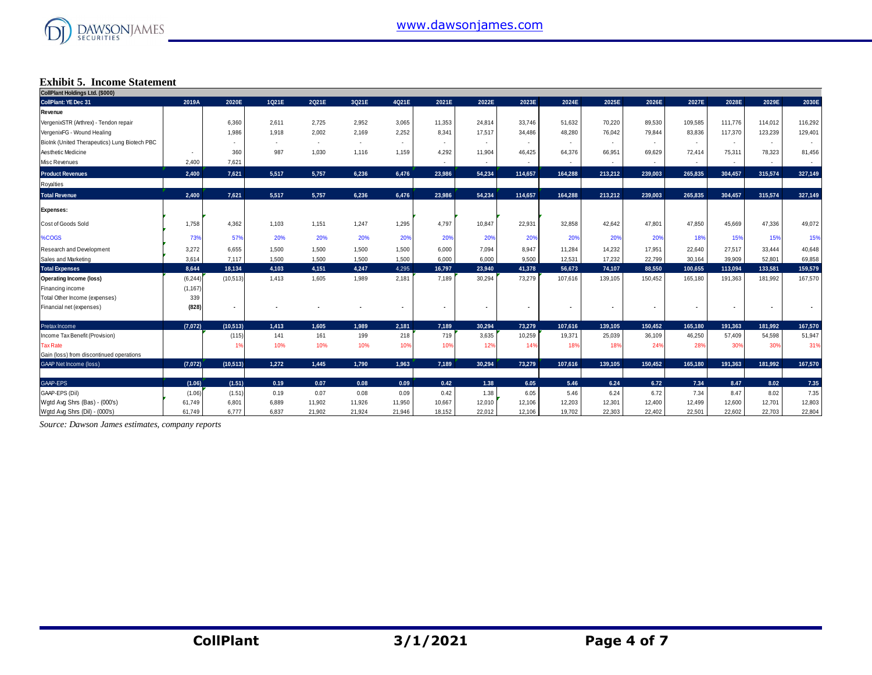

### **Exhibit 5. Income Statement**

| CollPlant Holdings Ltd. (\$000)               |          |                |        |        |        |                |                |                |         |         |                |                |                          |                |         |         |
|-----------------------------------------------|----------|----------------|--------|--------|--------|----------------|----------------|----------------|---------|---------|----------------|----------------|--------------------------|----------------|---------|---------|
| <b>CollPlant: YE Dec 31</b>                   | 2019A    | 2020E          | 1021E  | 2Q21E  | 3Q21E  | 4Q21E          | 2021E          | 2022E          | 2023E   | 2024E   | 2025E          | 2026E          | 2027E                    | 2028E          | 2029E   | 2030E   |
| Revenue                                       |          |                |        |        |        |                |                |                |         |         |                |                |                          |                |         |         |
| VergenixSTR (Arthrex) - Tendon repair         |          | 6,360          | 2.611  | 2,725  | 2.952  | 3,065          | 11,353         | 24,814         | 33,746  | 51.632  | 70,220         | 89,530         | 109,585                  | 111.776        | 114,012 | 116,292 |
| VergenixFG - Wound Healing                    |          | 1,986          | 1,918  | 2,002  | 2,169  | 2,252          | 8,341          | 17,517         | 34,486  | 48,280  | 76,042         | 79,844         | 83,836                   | 117,370        | 123,239 | 129,401 |
| Biolnk (United Therapeutics) Lung Biotech PBC |          |                | $\sim$ | $\sim$ | $\sim$ | $\sim$         |                |                |         |         | $\sim$         |                | $\overline{\phantom{a}}$ | ۰.             |         |         |
| Aesthetic Medicine                            |          | 360            | 987    | 1,030  | 1,116  | 1,159          | 4,292          | 11,904         | 46,425  | 64,376  | 66,951         | 69,629         | 72,414                   | 75,311         | 78,323  | 81,456  |
| Misc Revenues                                 | 2,400    | 7,621          |        |        |        |                | $\sim$         | $\sim$         | $\sim$  | $\sim$  | $\sim$         | $\sim$         | $\sim$                   | ٠              | $\sim$  | $\sim$  |
| <b>Product Revenues</b>                       | 2,400    | 7,621          | 5,517  | 5,757  | 6.236  | 6,476          | 23,986         | 54,234         | 114,657 | 164,288 | 213,212        | 239,003        | 265,835                  | 304,457        | 315,574 | 327,149 |
| Royalties                                     |          |                |        |        |        |                |                |                |         |         |                |                |                          |                |         |         |
| <b>Total Revenue</b>                          | 2,400    | 7,621          | 5,517  | 5,757  | 6.236  | 6,476          | 23,986         | 54,234         | 114,657 | 164,288 | 213,212        | 239,003        | 265,835                  | 304,457        | 315,574 | 327,149 |
| <b>Expenses:</b>                              |          |                |        |        |        |                |                |                |         |         |                |                |                          |                |         |         |
| Cost of Goods Sold                            | 1,758    | 4,362          | 1,103  | 1,151  | 1,247  | 1,295          | 4,797          | 10,847         | 22,931  | 32,858  | 42,642         | 47,801         | 47,850                   | 45,669         | 47,336  | 49,072  |
| %COGS                                         | 73%      | 57%            | 20%    | 20%    | 20%    | 20%            | 20%            | 20%            | 20%     | 20%     | 20%            | 20%            | 18%                      | 15%            | 15%     | 15%     |
| Research and Development                      | 3,272    | 6,655          | 1,500  | 1,500  | 1,500  | 1,500          | 6,000          | 7,094          | 8,947   | 11,284  | 14,232         | 17,951         | 22,640                   | 27,517         | 33,444  | 40,648  |
| Sales and Marketing                           | 3,614    | 7,117          | 1,500  | 1,500  | 1,500  | 1,500          | 6,000          | 6,000          | 9,500   | 12,531  | 17,232         | 22,799         | 30,164                   | 39,909         | 52,801  | 69,858  |
| <b>Total Expenses</b>                         | 8,644    | 18,134         | 4,103  | 4,151  | 4,247  | 4,295          | 16,797         | 23,940         | 41,378  | 56,673  | 74,107         | 88,550         | 100,655                  | 113,094        | 133.581 | 159,579 |
| <b>Operating Income (loss)</b>                | (6, 244) | (10, 513)      | 1,413  | 1,605  | 1,989  | 2,181          | 7,189          | 30,294         | 73,279  | 107,616 | 139,105        | 150,452        | 165,180                  | 191,363        | 181,992 | 167,570 |
| Financing income                              | (1, 167) |                |        |        |        |                |                |                |         |         |                |                |                          |                |         |         |
| Total Other Income (expenses)                 | 339      |                |        |        |        |                |                |                |         |         |                |                |                          |                |         |         |
| Financial net (expenses)                      | (828)    | $\blacksquare$ |        |        |        | $\blacksquare$ | $\blacksquare$ | $\blacksquare$ |         |         | $\blacksquare$ | $\blacksquare$ | $\blacksquare$           | $\blacksquare$ | $\sim$  |         |
| Pretax Income                                 | (7.072)  | (10, 513)      | 1.413  | 1.605  | 1.989  | 2,181          | 7.189          | 30.294         | 73,279  | 107,616 | 139.105        | 150,452        | 165,180                  | 191.363        | 181.992 | 167,570 |
| Income Tax Benefit (Provision)                |          | (115)          | 141    | 161    | 199    | 218            | 719            | 3,635          | 10,259  | 19,371  | 25,039         | 36,109         | 46,250                   | 57,409         | 54,598  | 51,947  |
| <b>Tax Rate</b>                               |          | 1%             | 10%    | 10%    | 10%    | 10%            | 10%            | 12%            | 14%     | 18%     | 18%            | 24%            | 28%                      | 30%            | 30%     | 31%     |
| Gain (loss) from discontinued operations      |          |                |        |        |        |                |                |                |         |         |                |                |                          |                |         |         |
| <b>GAAP Net Income (loss)</b>                 | (7,072)  | (10, 513)      | 1.272  | 1.445  | 1.790  | 1.963          | 7,189          | 30.294         | 73.279  | 107,616 | 139,105        | 150,452        | 165,180                  | 191,363        | 181,992 | 167,570 |
| GAAP-EPS                                      | (1.06)   | (1.51)         | 0.19   | 0.07   | 0.08   | 0.09           | 0.42           | 1.38           | 6.05    | 5.46    | 6.24           | 6.72           | 7.34                     | 8.47           | 8.02    | 7.35    |
| GAAP-EPS (Dil)                                | (1.06)   | (1.51)         | 0.19   | 0.07   | 0.08   | 0.09           | 0.42           | 1.38           | 6.05    | 5.46    | 6.24           | 6.72           | 7.34                     | 8.47           | 8.02    | 7.35    |
| Wgtd Avg Shrs (Bas) - (000's)                 | 61,749   | 6,801          | 6,889  | 11,902 | 11,926 | 11,950         | 10,667         | 12,010         | 12,106  | 12,203  | 12,301         | 12,400         | 12,499                   | 12,600         | 12,701  | 12,803  |
| Watd Ava Shrs (Dil) - (000's)                 | 61,749   | 6,777          | 6,837  | 21,902 | 21,924 | 21,946         | 18,152         | 22,012         | 12,106  | 19,702  | 22,303         | 22,402         | 22,501                   | 22,602         | 22,703  | 22,804  |

*Source: Dawson James estimates, company reports*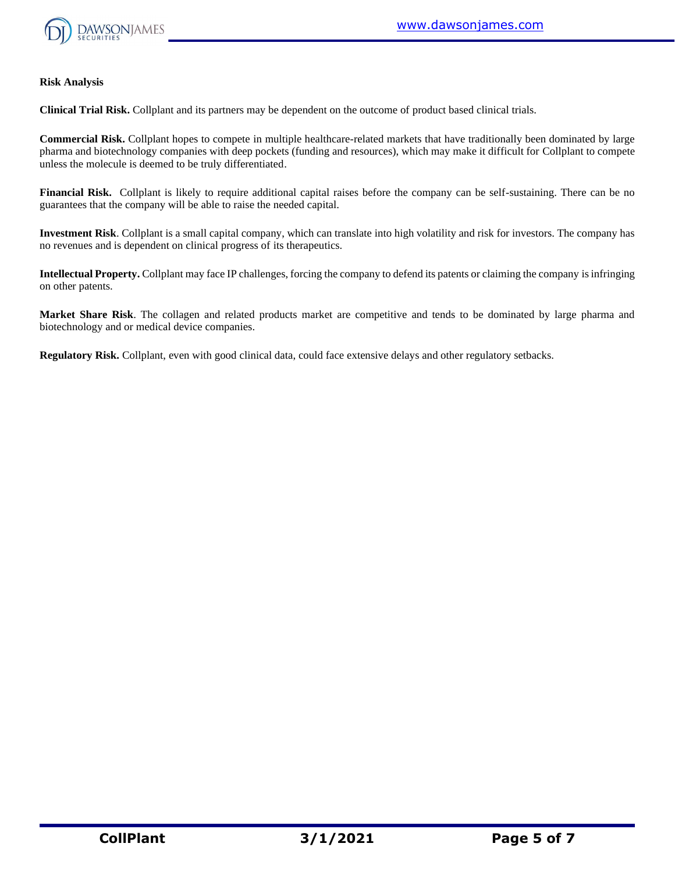

#### **Risk Analysis**

**Clinical Trial Risk.** Collplant and its partners may be dependent on the outcome of product based clinical trials.

**Commercial Risk.** Collplant hopes to compete in multiple healthcare-related markets that have traditionally been dominated by large pharma and biotechnology companies with deep pockets (funding and resources), which may make it difficult for Collplant to compete unless the molecule is deemed to be truly differentiated.

**Financial Risk.** Collplant is likely to require additional capital raises before the company can be self-sustaining. There can be no guarantees that the company will be able to raise the needed capital.

**Investment Risk**. Collplant is a small capital company, which can translate into high volatility and risk for investors. The company has no revenues and is dependent on clinical progress of its therapeutics.

**Intellectual Property.** Collplant may face IP challenges, forcing the company to defend its patents or claiming the company is infringing on other patents.

**Market Share Risk**. The collagen and related products market are competitive and tends to be dominated by large pharma and biotechnology and or medical device companies.

**Regulatory Risk.** Collplant, even with good clinical data, could face extensive delays and other regulatory setbacks.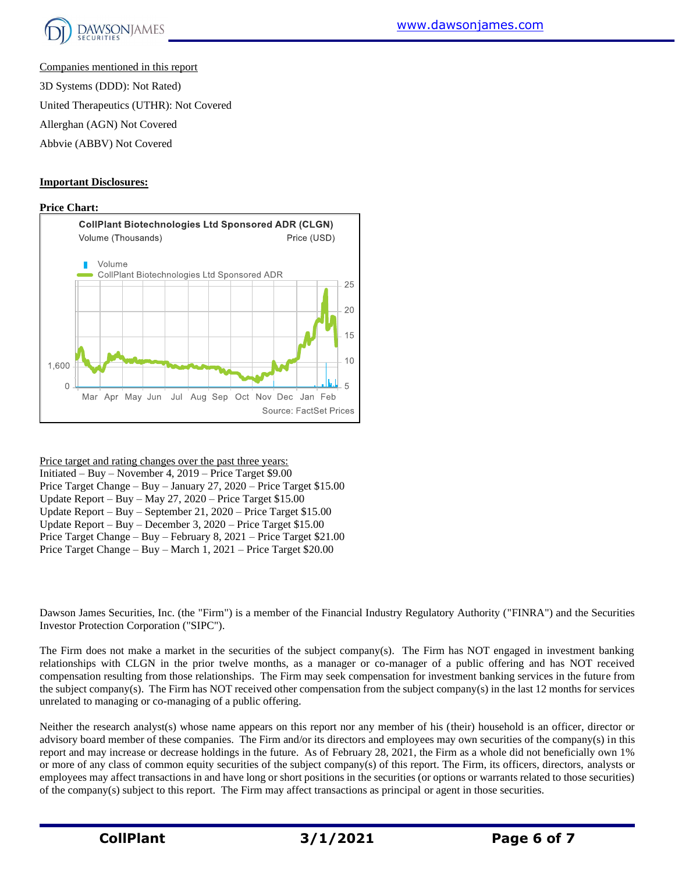

Companies mentioned in this report

3D Systems (DDD): Not Rated)

United Therapeutics (UTHR): Not Covered

Allerghan (AGN) Not Covered

Abbvie (ABBV) Not Covered

#### **Important Disclosures:**

#### **Price Chart:**



Price target and rating changes over the past three years:

Initiated – Buy – November 4, 2019 – Price Target \$9.00 Price Target Change – Buy – January 27, 2020 – Price Target \$15.00 Update Report – Buy – May 27, 2020 – Price Target \$15.00 Update Report – Buy – September 21, 2020 – Price Target \$15.00 Update Report – Buy – December 3, 2020 – Price Target \$15.00 Price Target Change – Buy – February 8, 2021 – Price Target \$21.00 Price Target Change – Buy – March 1, 2021 – Price Target \$20.00

Dawson James Securities, Inc. (the "Firm") is a member of the Financial Industry Regulatory Authority ("FINRA") and the Securities Investor Protection Corporation ("SIPC").

The Firm does not make a market in the securities of the subject company(s). The Firm has NOT engaged in investment banking relationships with CLGN in the prior twelve months, as a manager or co-manager of a public offering and has NOT received compensation resulting from those relationships. The Firm may seek compensation for investment banking services in the future from the subject company(s). The Firm has NOT received other compensation from the subject company(s) in the last 12 months for services unrelated to managing or co-managing of a public offering.

Neither the research analyst(s) whose name appears on this report nor any member of his (their) household is an officer, director or advisory board member of these companies. The Firm and/or its directors and employees may own securities of the company(s) in this report and may increase or decrease holdings in the future. As of February 28, 2021, the Firm as a whole did not beneficially own 1% or more of any class of common equity securities of the subject company(s) of this report. The Firm, its officers, directors, analysts or employees may affect transactions in and have long or short positions in the securities (or options or warrants related to those securities) of the company(s) subject to this report. The Firm may affect transactions as principal or agent in those securities.